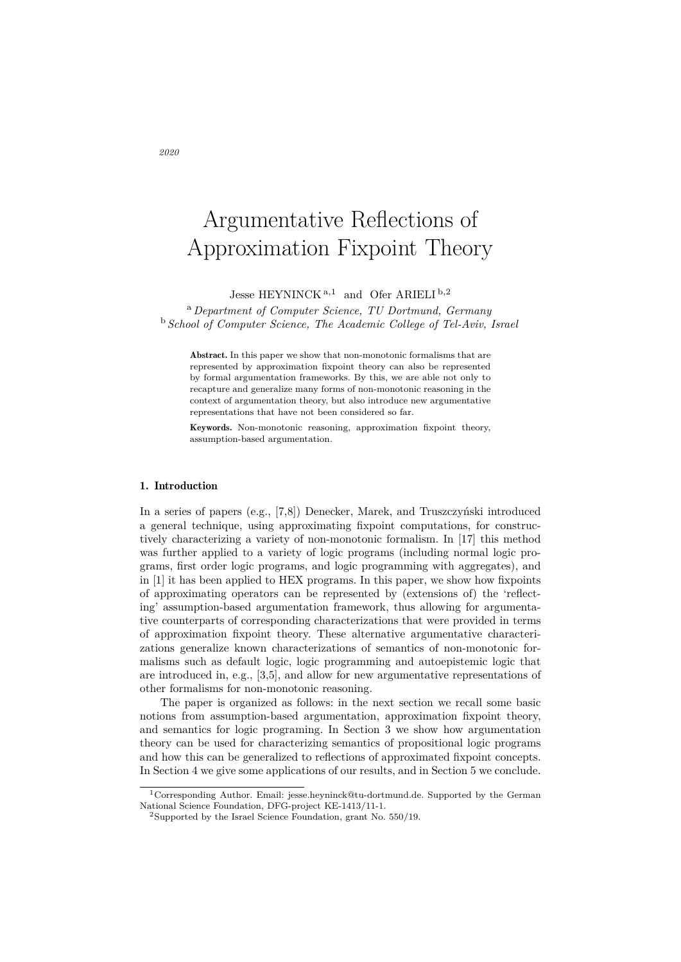# Argumentative Reflections of Approximation Fixpoint Theory

Jesse HEYNINCK <sup>a</sup>*,*<sup>1</sup> and Ofer ARIELI <sup>b</sup>*,*<sup>2</sup>

<sup>a</sup>*Department of Computer Science, TU Dortmund, Germany* <sup>b</sup> *School of Computer Science, The Academic College of Tel-Aviv, Israel*

Abstract. In this paper we show that non-monotonic formalisms that are represented by approximation fixpoint theory can also be represented by formal argumentation frameworks. By this, we are able not only to recapture and generalize many forms of non-monotonic reasoning in the context of argumentation theory, but also introduce new argumentative representations that have not been considered so far.

Keywords. Non-monotonic reasoning, approximation fixpoint theory, assumption-based argumentation.

# 1. Introduction

In a series of papers (e.g.,  $[7,8]$ ) Denecker, Marek, and Truszczyński introduced a general technique, using approximating fixpoint computations, for constructively characterizing a variety of non-monotonic formalism. In [17] this method was further applied to a variety of logic programs (including normal logic programs, first order logic programs, and logic programming with aggregates), and in [1] it has been applied to HEX programs. In this paper, we show how fixpoints of approximating operators can be represented by (extensions of) the 'reflecting' assumption-based argumentation framework, thus allowing for argumentative counterparts of corresponding characterizations that were provided in terms of approximation fixpoint theory. These alternative argumentative characterizations generalize known characterizations of semantics of non-monotonic formalisms such as default logic, logic programming and autoepistemic logic that are introduced in, e.g., [3,5], and allow for new argumentative representations of other formalisms for non-monotonic reasoning.

The paper is organized as follows: in the next section we recall some basic notions from assumption-based argumentation, approximation fixpoint theory, and semantics for logic programing. In Section 3 we show how argumentation theory can be used for characterizing semantics of propositional logic programs and how this can be generalized to reflections of approximated fixpoint concepts. In Section 4 we give some applications of our results, and in Section 5 we conclude.

<sup>1</sup>Corresponding Author. Email: jesse.heyninck@tu-dortmund.de. Supported by the German National Science Foundation, DFG-project KE-1413/11-1.

<sup>2</sup>Supported by the Israel Science Foundation, grant No. 550/19.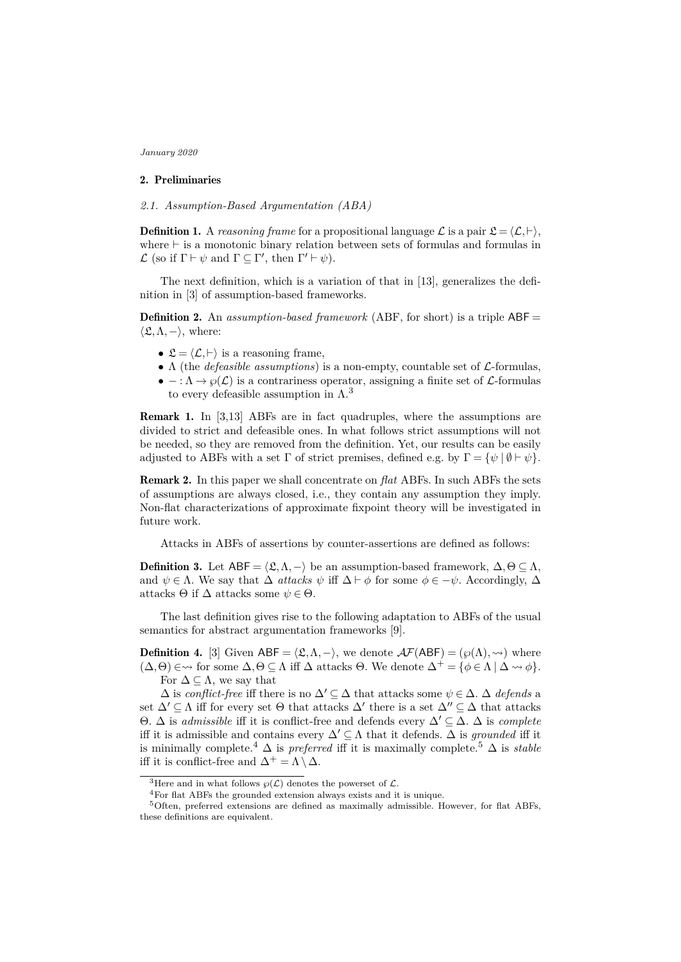# 2. Preliminaries

*2.1. Assumption-Based Argumentation (ABA)*

**Definition 1.** A *reasoning frame* for a propositional language  $\mathcal{L}$  is a pair  $\mathcal{L} = \langle \mathcal{L}, \vdash \rangle$ , where  $\vdash$  is a monotonic binary relation between sets of formulas and formulas in  $\mathcal{L}$  (so if  $\Gamma \vdash \psi$  and  $\Gamma \subseteq \Gamma'$ , then  $\Gamma' \vdash \psi$ ).

The next definition, which is a variation of that in [13], generalizes the definition in [3] of assumption-based frameworks.

Definition 2. An *assumption-based framework* (ABF, for short) is a triple ABF =  $\langle \mathfrak{L}, \Lambda, - \rangle$ , where:

- $\mathfrak{L} = \langle \mathcal{L}, \vdash \rangle$  is a reasoning frame,
- Λ (the *defeasible assumptions*) is a non-empty, countable set of *L*-formulas,
- $\bullet$  :  $\Lambda \to \varphi(\mathcal{L})$  is a contrariness operator, assigning a finite set of  $\mathcal{L}$ -formulas to every defeasible assumption in  $\Lambda$ <sup>3</sup>

Remark 1. In [3,13] ABFs are in fact quadruples, where the assumptions are divided to strict and defeasible ones. In what follows strict assumptions will not be needed, so they are removed from the definition. Yet, our results can be easily adjusted to ABFs with a set  $\Gamma$  of strict premises, defined e.g. by  $\Gamma = {\psi \mid \emptyset \vdash \psi}.$ 

Remark 2. In this paper we shall concentrate on *flat* ABFs. In such ABFs the sets of assumptions are always closed, i.e., they contain any assumption they imply. Non-flat characterizations of approximate fixpoint theory will be investigated in future work.

Attacks in ABFs of assertions by counter-assertions are defined as follows:

**Definition 3.** Let  $ABF = \langle \mathfrak{L}, \Lambda, - \rangle$  be an assumption-based framework,  $\Delta, \Theta \subseteq \Lambda$ , and  $\psi \in \Lambda$ . We say that  $\Delta$  *attacks*  $\psi$  iff  $\Delta \vdash \phi$  for some  $\phi \in -\psi$ . Accordingly,  $\Delta$ attacks  $\Theta$  if  $\Delta$  attacks some  $\psi \in \Theta$ .

The last definition gives rise to the following adaptation to ABFs of the usual semantics for abstract argumentation frameworks [9].

**Definition 4.** [3] Given ABF =  $\langle \mathfrak{L}, \Lambda, - \rangle$ , we denote  $\mathcal{A}F(\mathsf{ABF}) = (\wp(\Lambda), \leadsto)$  where  $(\Delta, \Theta) \in \mathcal{A}$  for some  $\Delta, \Theta \subseteq \Lambda$  iff  $\Delta$  attacks  $\Theta$ . We denote  $\Delta^+ = {\phi \in \Lambda \mid \Delta \leadsto \phi}$ . For  $\Delta \subseteq \Lambda$ , we say that

 $\Delta$  is *conflict-free* iff there is no  $\Delta' \subseteq \Delta$  that attacks some  $\psi \in \Delta$ .  $\Delta$  *defends* a set  $\Delta' \subseteq \Lambda$  iff for every set  $\Theta$  that attacks  $\Delta'$  there is a set  $\Delta'' \subseteq \Delta$  that attacks  $Θ$ .  $Δ$  is *admissible* iff it is conflict-free and defends every  $Δ' ⊂ Δ$ .  $Δ$  is *complete* iff it is admissible and contains every  $\Delta' \subseteq \Lambda$  that it defends.  $\Delta$  is *grounded* iff it is minimally complete.<sup>4</sup>  $\Delta$  is *preferred* iff it is maximally complete.<sup>5</sup>  $\Delta$  is *stable* iff it is conflict-free and  $\Delta^+ = \Lambda \setminus \Delta$ .

<sup>&</sup>lt;sup>3</sup>Here and in what follows  $\varphi(\mathcal{L})$  denotes the powerset of  $\mathcal{L}$ .

<sup>4</sup>For flat ABFs the grounded extension always exists and it is unique.

<sup>5</sup>Often, preferred extensions are defined as maximally admissible. However, for flat ABFs, these definitions are equivalent.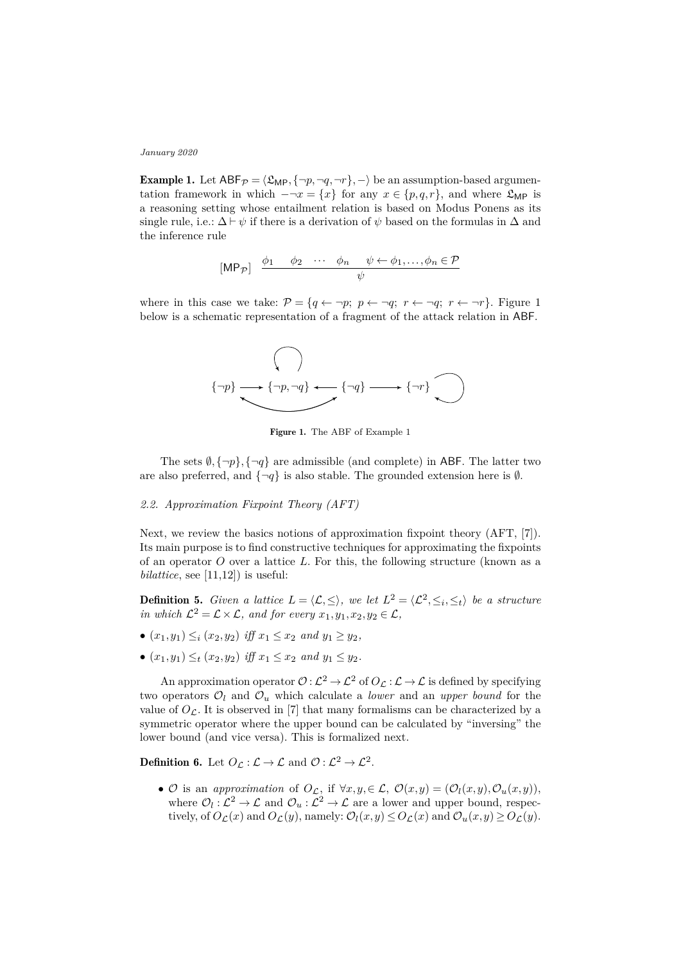**Example 1.** Let  $ABF_p = \langle \mathfrak{L}_{MP}, {\neg p, \neg q, \neg r}, \neg \rangle$  be an assumption-based argumentation framework in which  $-\neg x = \{x\}$  for any  $x \in \{p,q,r\}$ , and where  $\mathfrak{L}_{\text{MP}}$  is a reasoning setting whose entailment relation is based on Modus Ponens as its single rule, i.e.:  $\Delta \vdash \psi$  if there is a derivation of  $\psi$  based on the formulas in  $\Delta$  and the inference rule

$$
[\mathsf{MP}_{\mathcal{P}}] \quad \frac{\phi_1 \quad \phi_2 \quad \cdots \quad \phi_n \quad \psi \leftarrow \phi_1, \ldots, \phi_n \in \mathcal{P}}{\psi}
$$

where in this case we take:  $P = \{q \leftarrow \neg p; \ p \leftarrow \neg q; \ r \leftarrow \neg q; \ r \leftarrow \neg r\}$ . Figure 1 below is a schematic representation of a fragment of the attack relation in ABF.



Figure 1. The ABF of Example 1

The sets  $\emptyset$ ,  $\{\neg p\}$ ,  $\{\neg q\}$  are admissible (and complete) in ABF. The latter two are also preferred, and  $\{\neg q\}$  is also stable. The grounded extension here is  $\emptyset$ .

## *2.2. Approximation Fixpoint Theory (AFT)*

Next, we review the basics notions of approximation fixpoint theory (AFT, [7]). Its main purpose is to find constructive techniques for approximating the fixpoints of an operator *O* over a lattice *L*. For this, the following structure (known as a  $bilattice$ , see  $[11,12]$  is useful:

**Definition 5.** *Given a lattice*  $L = \langle L, \leq \rangle$ , we let  $L^2 = \langle L^2, \leq_i, \leq_t \rangle$  be a structure *in which*  $\mathcal{L}^2 = \mathcal{L} \times \mathcal{L}$ *, and for every*  $x_1, y_1, x_2, y_2 \in \mathcal{L}$ *,* 

- $(x_1, y_1) \leq i (x_2, y_2)$  *iff*  $x_1 \leq x_2$  *and*  $y_1 \geq y_2$ *,*
- $(x_1, y_1) \leq_t (x_2, y_2)$  *iff*  $x_1 \leq x_2$  *and*  $y_1 \leq y_2$ *.*

An approximation operator  $\mathcal{O}: L^2 \to L^2$  of  $O_L: L \to L$  is defined by specifying two operators  $\mathcal{O}_l$  and  $\mathcal{O}_u$  which calculate a *lower* and an *upper bound* for the value of  $O<sub>L</sub>$ . It is observed in [7] that many formalisms can be characterized by a symmetric operator where the upper bound can be calculated by "inversing" the lower bound (and vice versa). This is formalized next.

**Definition 6.** Let  $O_{\mathcal{L}} : \mathcal{L} \to \mathcal{L}$  and  $\mathcal{O} : \mathcal{L}^2 \to \mathcal{L}^2$ .

•  $\mathcal{O}$  is an *approximation* of  $O_{\mathcal{L}}$ , if  $\forall x, y, \in \mathcal{L}$ ,  $\mathcal{O}(x, y) = (\mathcal{O}_l(x, y), \mathcal{O}_u(x, y)),$ where  $\mathcal{O}_l:\mathcal{L}^2\to\mathcal{L}$  and  $\mathcal{O}_u:\mathcal{L}^2\to\mathcal{L}$  are a lower and upper bound, respectively, of  $O_{\mathcal{L}}(x)$  and  $O_{\mathcal{L}}(y)$ , namely:  $\mathcal{O}_{l}(x,y) \leq O_{\mathcal{L}}(x)$  and  $\mathcal{O}_{u}(x,y) \geq O_{\mathcal{L}}(y)$ .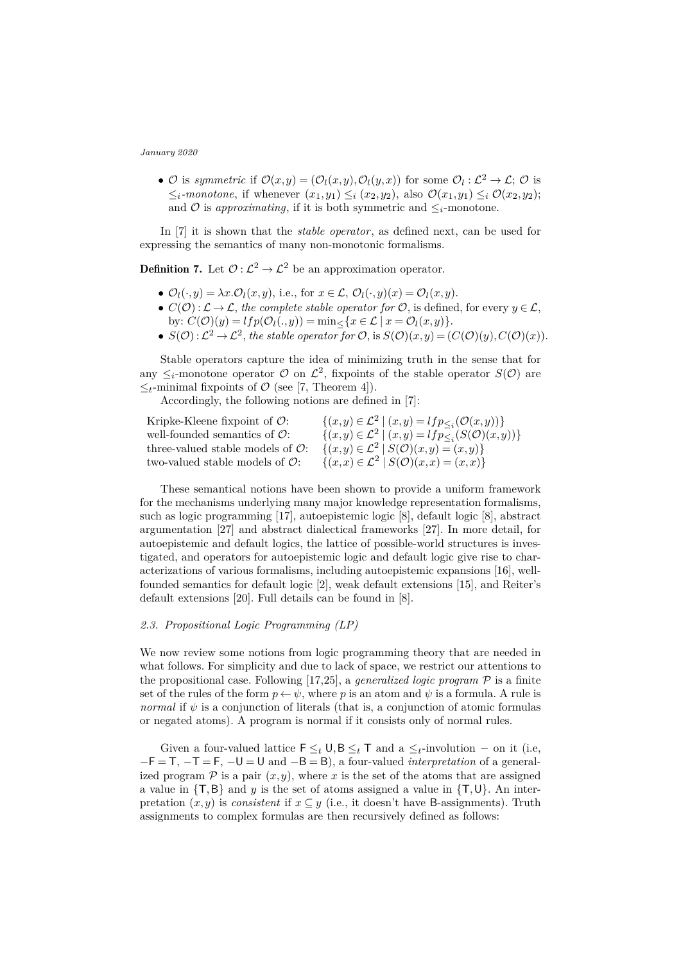•  $\mathcal{O}$  is *symmetric* if  $\mathcal{O}(x,y) = (\mathcal{O}_l(x,y), \mathcal{O}_l(y,x))$  for some  $\mathcal{O}_l : L^2 \to L$ ;  $\mathcal{O}$  is  $\leq_i$ *-monotone*, if whenever  $(x_1, y_1) \leq_i (x_2, y_2)$ , also  $\mathcal{O}(x_1, y_1) \leq_i \mathcal{O}(x_2, y_2)$ ; and  $\mathcal O$  is *approximating*, if it is both symmetric and  $\leq_i$ -monotone.

In [7] it is shown that the *stable operator*, as defined next, can be used for expressing the semantics of many non-monotonic formalisms.

**Definition 7.** Let  $\mathcal{O}: L^2 \to L^2$  be an approximation operator.

- $\mathcal{O}_l(\cdot,y) = \lambda x \cdot \mathcal{O}_l(x,y)$ , i.e., for  $x \in \mathcal{L}, \mathcal{O}_l(\cdot,y)(x) = \mathcal{O}_l(x,y)$ .
- $C(\mathcal{O}): \mathcal{L} \to \mathcal{L}$ , the complete stable operator for  $\mathcal{O}$ , is defined, for every  $y \in \mathcal{L}$ , by:  $C(\mathcal{O})(y) = lfp(\mathcal{O}_l(.,y)) = \min \{x \in \mathcal{L} \mid x = \mathcal{O}_l(x,y)\}.$
- $S(\mathcal{O}): \mathcal{L}^2 \to \mathcal{L}^2$ , the stable operator for  $\mathcal{O}$ , is  $S(\mathcal{O})(x,y) = (C(\mathcal{O})(y), C(\mathcal{O})(x)).$

Stable operators capture the idea of minimizing truth in the sense that for any  $\leq_i$ -monotone operator  $\mathcal O$  on  $\mathcal L^2$ , fixpoints of the stable operator  $S(\mathcal O)$  are  $\leq_t$ -minimal fixpoints of  $\mathcal{O}$  (see [7, Theorem 4]).

Accordingly, the following notions are defined in [7]:

| Kripke-Kleene fixpoint of $\mathcal{O}$ :     | $\{(x,y)\in \mathcal{L}^2 \mid (x,y)=lfp_{\leq i}(\mathcal{O}(x,y))\}$    |
|-----------------------------------------------|---------------------------------------------------------------------------|
| well-founded semantics of $\mathcal{O}$ :     | $\{(x,y)\in \mathcal{L}^2 \mid (x,y)=lfp_{\leq i}(S(\mathcal{O})(x,y))\}$ |
| three-valued stable models of $\mathcal{O}$ : | $\{(x,y)\in \mathcal{L}^2\mid S(\mathcal{O})(x,y)=(x,y)\}\$               |
| two-valued stable models of $\mathcal{O}$ :   | $\{(x,x)\in \mathcal{L}^2\mid S(\mathcal{O})(x,x)=(x,x)\}\$               |

These semantical notions have been shown to provide a uniform framework for the mechanisms underlying many major knowledge representation formalisms, such as logic programming [17], autoepistemic logic [8], default logic [8], abstract argumentation [27] and abstract dialectical frameworks [27]. In more detail, for autoepistemic and default logics, the lattice of possible-world structures is investigated, and operators for autoepistemic logic and default logic give rise to characterizations of various formalisms, including autoepistemic expansions [16], wellfounded semantics for default logic [2], weak default extensions [15], and Reiter's default extensions [20]. Full details can be found in [8].

## *2.3. Propositional Logic Programming (LP)*

We now review some notions from logic programming theory that are needed in what follows. For simplicity and due to lack of space, we restrict our attentions to the propositional case. Following [17,25], a *generalized logic program* P is a finite set of the rules of the form  $p \leftarrow \psi$ , where *p* is an atom and  $\psi$  is a formula. A rule is *normal* if  $\psi$  is a conjunction of literals (that is, a conjunction of atomic formulas or negated atoms). A program is normal if it consists only of normal rules.

Given a four-valued lattice  $\mathsf{F} \leq_t \mathsf{U}, \mathsf{B} \leq_t \mathsf{T}$  and a  $\leq_t$ -involution – on it (i.e, −F = T, −T = F, −U = U and −B = B), a four-valued *interpretation* of a generalized program  $\mathcal P$  is a pair  $(x, y)$ , where x is the set of the atoms that are assigned a value in  $\{T, B\}$  and *y* is the set of atoms assigned a value in  $\{T, U\}$ . An interpretation  $(x, y)$  is *consistent* if  $x \subseteq y$  (i.e., it doesn't have B-assignments). Truth assignments to complex formulas are then recursively defined as follows: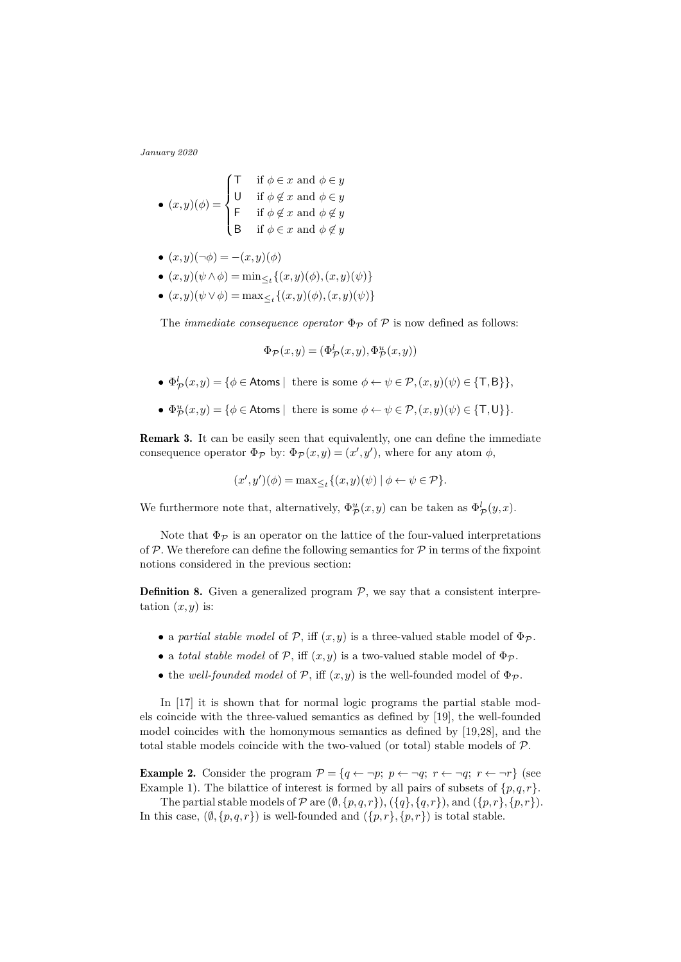• 
$$
(x, y)(\phi) = \begin{cases} \n\begin{cases} \n\begin{cases} \n\begin{cases} \n\begin{cases} \n\begin{cases} \n\begin{cases} \n\end{cases} & \text{if } \phi \in x \text{ and } \phi \in y \n\end{cases} \n\end{cases} \right} \\
\begin{cases} \n\begin{cases} \n\begin{cases} \n\begin{cases} \n\begin{cases} \n\end{cases} & \text{if } \phi \notin x \text{ and } \phi \notin y \n\end{cases} \right} \\
\begin{cases} \n\begin{cases} \n\begin{cases} \n\begin{cases} \n\end{cases} & \text{if } \phi \in x \text{ and } \phi \notin y \n\end{cases} \n\end{cases} \n\end{cases} \n\end{cases}
$$

- $(x,y)(\neg\phi) = -(x,y)(\phi)$
- $\bullet$  (*x,y*)(*ψ* ∧*ϕ*) = min<sub>≤*t*</sub>{(*x,y*)(*ϕ*)*,*(*x,y*)(*ψ*)}
- $\bullet$  (*x,y*)(*ψ* ∨ *ϕ*) = max<sub>≤*t*</sub>{(*x,y*)(*ϕ*)*,*(*x,y*)(*ψ*)}

The *immediate consequence operator*  $\Phi_{\mathcal{P}}$  of  $\mathcal{P}$  is now defined as follows:

$$
\Phi_{\mathcal{P}}(x,y) = (\Phi_{\mathcal{P}}^l(x,y), \Phi_{\mathcal{P}}^u(x,y))
$$

- $\Phi^l_{\mathcal{P}}(x,y) = \{\phi \in \text{Atoms} \mid \text{there is some } \phi \leftarrow \psi \in \mathcal{P}, (x,y)(\psi) \in \{\textsf{T}, \textsf{B}\}\},\$
- $\Phi_{\mathcal{P}}^u(x,y) = \{\phi \in \text{Atoms} \mid \text{there is some } \phi \leftarrow \psi \in \mathcal{P}, (x,y)(\psi) \in \{\textsf{T}, \textsf{U}\}\}.$

Remark 3. It can be easily seen that equivalently, one can define the immediate consequence operator  $\Phi_{\mathcal{P}}$  by:  $\Phi_{\mathcal{P}}(x,y) = (x',y')$ , where for any atom  $\phi$ ,

$$
(x',y')(\phi) = \max_{\leq t} \{ (x,y)(\psi) \mid \phi \leftarrow \psi \in \mathcal{P} \}.
$$

We furthermore note that, alternatively,  $\Phi_{\mathcal{P}}^u(x,y)$  can be taken as  $\Phi_{\mathcal{P}}^l(y,x)$ .

Note that  $\Phi_{\mathcal{P}}$  is an operator on the lattice of the four-valued interpretations of  $P$ . We therefore can define the following semantics for  $P$  in terms of the fixpoint notions considered in the previous section:

**Definition 8.** Given a generalized program  $P$ , we say that a consistent interpretation  $(x, y)$  is:

- a *partial stable model* of  $P$ , iff  $(x, y)$  is a three-valued stable model of  $\Phi_{\mathcal{P}}$ .
- a *total stable model* of  $P$ , iff  $(x, y)$  is a two-valued stable model of  $\Phi_{\mathcal{P}}$ .
- the *well-founded model* of  $P$ , iff  $(x, y)$  is the well-founded model of  $\Phi_{\mathcal{P}}$ .

In [17] it is shown that for normal logic programs the partial stable models coincide with the three-valued semantics as defined by [19], the well-founded model coincides with the homonymous semantics as defined by [19,28], and the total stable models coincide with the two-valued (or total) stable models of  $\mathcal{P}$ .

**Example 2.** Consider the program  $\mathcal{P} = \{q \leftarrow \neg p; p \leftarrow \neg q; r \leftarrow \neg q; r \leftarrow \neg r\}$  (see Example 1). The bilattice of interest is formed by all pairs of subsets of  $\{p,q,r\}$ .

The partial stable models of  $P$  are  $(\emptyset, \{p,q,r\})$ ,  $(\{q\}, \{q,r\})$ , and  $(\{p,r\}, \{p,r\})$ . In this case,  $(\emptyset, \{p,q,r\})$  is well-founded and  $(\{p,r\}, \{p,r\})$  is total stable.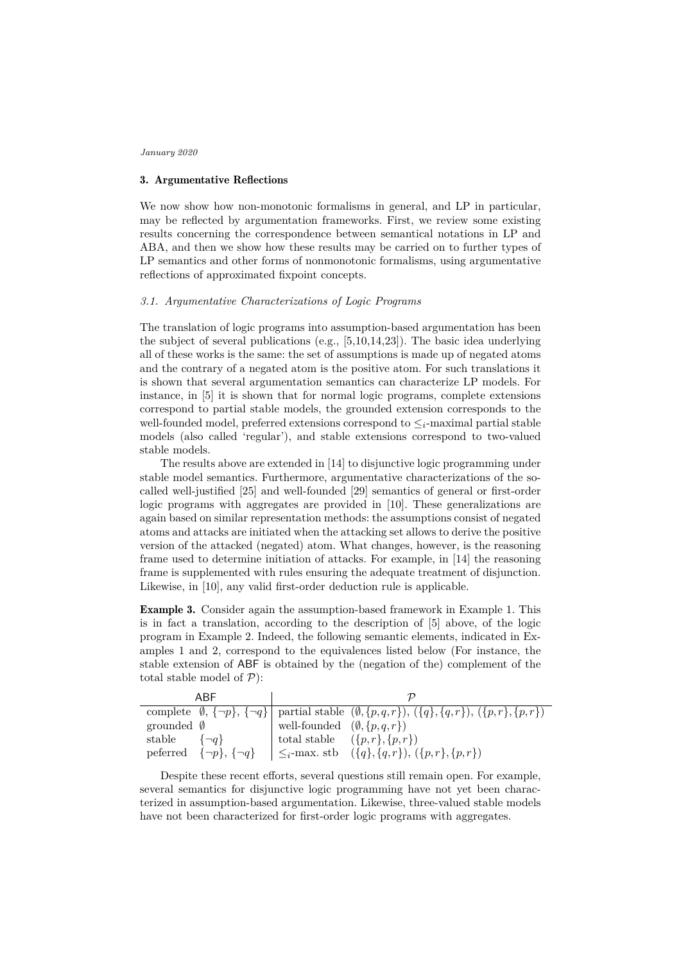## 3. Argumentative Reflections

We now show how non-monotonic formalisms in general, and LP in particular, may be reflected by argumentation frameworks. First, we review some existing results concerning the correspondence between semantical notations in LP and ABA, and then we show how these results may be carried on to further types of LP semantics and other forms of nonmonotonic formalisms, using argumentative reflections of approximated fixpoint concepts.

## *3.1. Argumentative Characterizations of Logic Programs*

The translation of logic programs into assumption-based argumentation has been the subject of several publications (e.g., [5,10,14,23]). The basic idea underlying all of these works is the same: the set of assumptions is made up of negated atoms and the contrary of a negated atom is the positive atom. For such translations it is shown that several argumentation semantics can characterize LP models. For instance, in [5] it is shown that for normal logic programs, complete extensions correspond to partial stable models, the grounded extension corresponds to the well-founded model, preferred extensions correspond to ≤*i*-maximal partial stable models (also called 'regular'), and stable extensions correspond to two-valued stable models.

The results above are extended in [14] to disjunctive logic programming under stable model semantics. Furthermore, argumentative characterizations of the socalled well-justified [25] and well-founded [29] semantics of general or first-order logic programs with aggregates are provided in [10]. These generalizations are again based on similar representation methods: the assumptions consist of negated atoms and attacks are initiated when the attacking set allows to derive the positive version of the attacked (negated) atom. What changes, however, is the reasoning frame used to determine initiation of attacks. For example, in [14] the reasoning frame is supplemented with rules ensuring the adequate treatment of disjunction. Likewise, in [10], any valid first-order deduction rule is applicable.

Example 3. Consider again the assumption-based framework in Example 1. This is in fact a translation, according to the description of [5] above, of the logic program in Example 2. Indeed, the following semantic elements, indicated in Examples 1 and 2, correspond to the equivalences listed below (For instance, the stable extension of ABF is obtained by the (negation of the) complement of the total stable model of  $P$ ):

| ARF                               |                                                           |                                                                                                                                        |
|-----------------------------------|-----------------------------------------------------------|----------------------------------------------------------------------------------------------------------------------------------------|
|                                   |                                                           | complete $\emptyset$ , $\{\neg p\}$ , $\{\neg q\}$ partial stable $(\emptyset, \{p,q,r\})$ , $(\{q\}, \{q,r\})$ , $(\{p,r\}, \{p,r\})$ |
| grounded $\emptyset$              | well-founded $(\emptyset, \{p,q,r\})$                     |                                                                                                                                        |
| stable<br>$\{\neg a\}$            | total stable $(\lbrace p,r \rbrace, \lbrace p,r \rbrace)$ |                                                                                                                                        |
| peferred $\{\neg p\}, \{\neg q\}$ |                                                           | $ \leq_i$ -max. stb $(\{q\}, \{q, r\}), (\{p, r\}, \{p, r\})$                                                                          |

Despite these recent efforts, several questions still remain open. For example, several semantics for disjunctive logic programming have not yet been characterized in assumption-based argumentation. Likewise, three-valued stable models have not been characterized for first-order logic programs with aggregates.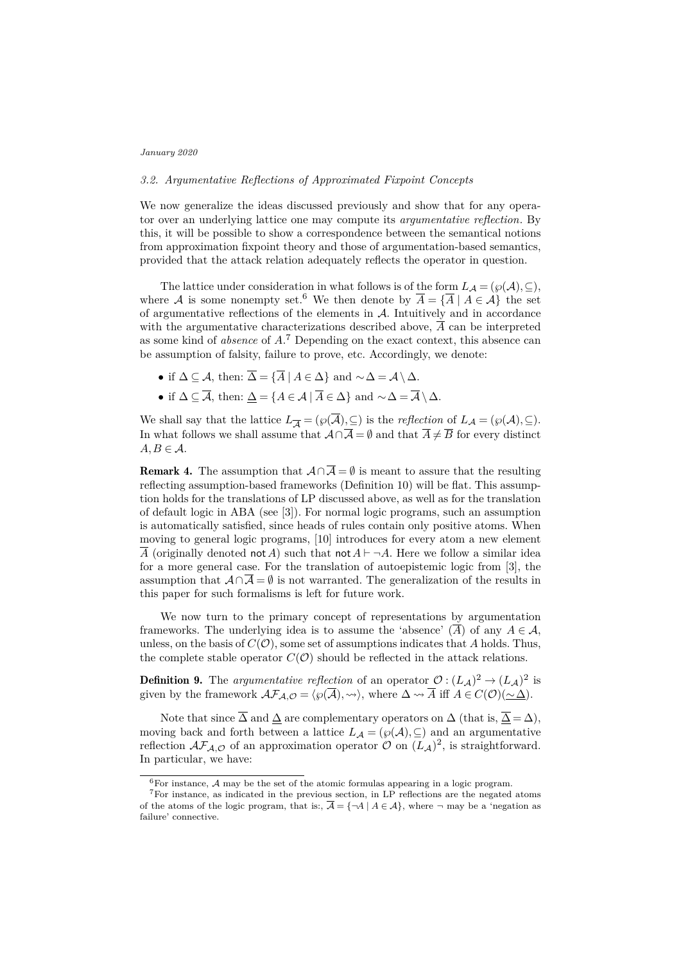# *3.2. Argumentative Reflections of Approximated Fixpoint Concepts*

We now generalize the ideas discussed previously and show that for any operator over an underlying lattice one may compute its *argumentative reflection*. By this, it will be possible to show a correspondence between the semantical notions from approximation fixpoint theory and those of argumentation-based semantics, provided that the attack relation adequately reflects the operator in question.

The lattice under consideration in what follows is of the form  $L_A = (\wp(A), \subseteq)$ , where A is some nonempty set.<sup>6</sup> We then denote by  $\overline{A} = {\overline{A} \mid A \in \mathcal{A}}$  the set of argumentative reflections of the elements in  $A$ . Intuitively and in accordance with the argumentative characterizations described above,  $\overline{A}$  can be interpreted as some kind of *absence* of *A*. <sup>7</sup> Depending on the exact context, this absence can be assumption of falsity, failure to prove, etc. Accordingly, we denote:

- if  $\Delta \subseteq \mathcal{A}$ , then:  $\overline{\Delta} = {\overline{A} \mid A \in \Delta}$  and  $\sim \Delta = \mathcal{A} \setminus \Delta$ .
- if  $\Delta \subseteq \overline{\mathcal{A}}$ , then:  $\Delta = \{A \in \mathcal{A} \mid \overline{A} \in \Delta\}$  and  $\sim \Delta = \overline{\mathcal{A}} \setminus \Delta$ .

We shall say that the lattice  $L_{\overline{A}} = (\wp(\overline{A}), \subseteq)$  is the *reflection* of  $L_{\mathcal{A}} = (\wp(A), \subseteq)$ . In what follows we shall assume that  $\mathcal{A} \cap \overline{\mathcal{A}} = \emptyset$  and that  $\overline{A} \neq \overline{B}$  for every distinct  $A, B \in \mathcal{A}$ .

**Remark 4.** The assumption that  $\mathcal{A} \cap \overline{\mathcal{A}} = \emptyset$  is meant to assure that the resulting reflecting assumption-based frameworks (Definition 10) will be flat. This assumption holds for the translations of LP discussed above, as well as for the translation of default logic in ABA (see [3]). For normal logic programs, such an assumption is automatically satisfied, since heads of rules contain only positive atoms. When moving to general logic programs, [10] introduces for every atom a new element  $\overline{A}$  (originally denoted not *A*) such that not  $A \vdash \neg A$ . Here we follow a similar idea for a more general case. For the translation of autoepistemic logic from [3], the assumption that  $\mathcal{A} \cap \overline{\mathcal{A}} = \emptyset$  is not warranted. The generalization of the results in this paper for such formalisms is left for future work.

We now turn to the primary concept of representations by argumentation frameworks. The underlying idea is to assume the 'absence'  $(\overline{A})$  of any  $A \in \mathcal{A}$ , unless, on the basis of  $C(\mathcal{O})$ , some set of assumptions indicates that *A* holds. Thus, the complete stable operator  $C(\mathcal{O})$  should be reflected in the attack relations.

**Definition 9.** The *argumentative reflection* of an operator  $\mathcal{O} : (L_{\mathcal{A}})^2 \to (L_{\mathcal{A}})^2$  is given by the framework  $\mathcal{AF}_{\mathcal{A}, \mathcal{O}} = \langle \wp(\overline{\mathcal{A}}), \leadsto \rangle$ , where  $\Delta \leadsto \overline{A}$  iff  $A \in C(\mathcal{O})(\sim \Delta)$ .

Note that since  $\overline{\Delta}$  and  $\Delta$  are complementary operators on  $\Delta$  (that is,  $\overline{\Delta} = \Delta$ ), moving back and forth between a lattice  $L_A = (\wp(A), \subseteq)$  and an argumentative reflection  $\mathcal{AF}_{\mathcal{A}, \mathcal{O}}$  of an approximation operator  $\mathcal{O}$  on  $(L_{\mathcal{A}})^2$ , is straightforward. In particular, we have:

 ${}^{6}$ For instance, A may be the set of the atomic formulas appearing in a logic program.

<sup>7</sup>For instance, as indicated in the previous section, in LP reflections are the negated atoms of the atoms of the logic program, that is:,  $\overline{A} = \{\neg A \mid A \in \mathcal{A}\}\$ , where  $\neg$  may be a 'negation as failure' connective.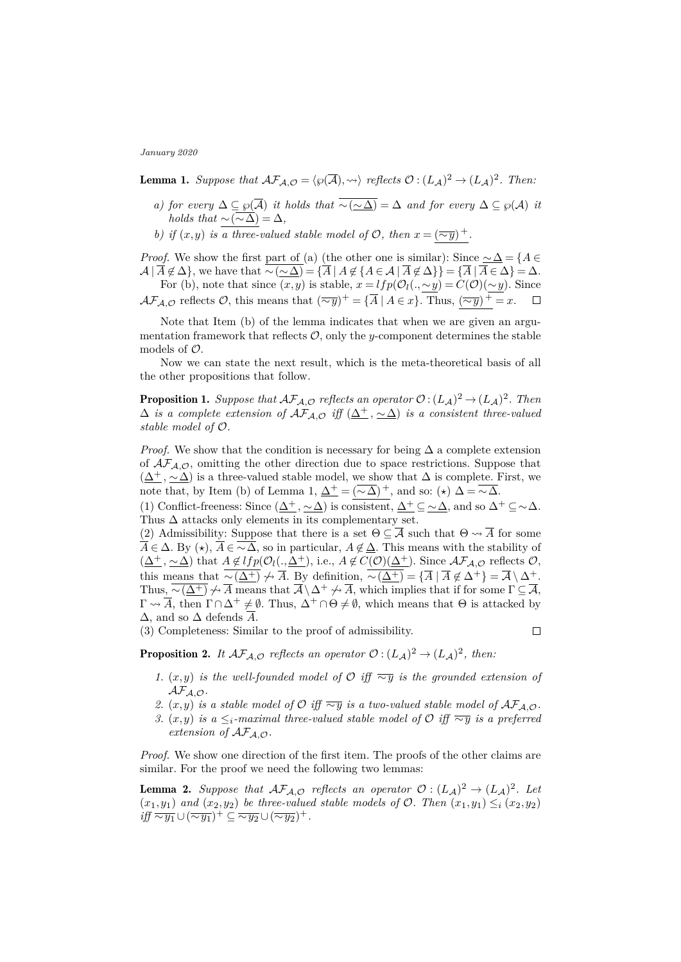**Lemma 1.** Suppose that  $\mathcal{AF}_{\mathcal{A}, \mathcal{O}} = \langle \wp(\overline{\mathcal{A}}), \leadsto \rangle$  reflects  $\mathcal{O} : (L_{\mathcal{A}})^2 \to (L_{\mathcal{A}})^2$ . Then:

- *a) for every*  $\Delta \subseteq \wp(\overline{A})$  *it holds that*  $\overline{\sim(\sim \Delta)} = \Delta$  *and for every*  $\Delta \subseteq \wp(A)$  *it holds that*  $\sim$   $(\overline{\sim \Delta}) = \Delta$ *,*
- *b) if*  $(x, y)$  *is a three-valued stable model of*  $\mathcal{O}$ *, then*  $x = (\overline{\sim y})^+$ *.*

*Proof.* We show the first part of (a) (the other one is similar): Since  $\sim \Delta = \{A \in$  $\mathcal{A} | \overline{A} \notin \Delta$ , we have that  $\overline{\sim}(\sim \Delta) = \{ \overline{A} | A \notin \{ A \in \mathcal{A} | \overline{A} \notin \Delta \} \} = \{ \overline{A} | \overline{A} \in \Delta \} = \Delta$ .

For (b), note that since  $(x, y)$  is stable,  $x = lfp(\mathcal{O}_l(., \sim y) = C(\mathcal{O})(\sim y)$ . Since  $\mathcal{AF}_{\mathcal{A}, \mathcal{O}}$  reflects  $\mathcal{O}$ , this means that  $(\overline{\sim y})^+ = {\overline{A} \mid A \in x}$ . Thus,  $(\overline{\sim y})^+ = x$ .

Note that Item (b) of the lemma indicates that when we are given an argumentation framework that reflects  $\mathcal{O}$ , only the *y*-component determines the stable models of  $\mathcal{O}$ .

Now we can state the next result, which is the meta-theoretical basis of all the other propositions that follow.

**Proposition 1.** Suppose that  $\mathcal{AF}_{\mathcal{A}, \mathcal{O}}$  reflects an operator  $\mathcal{O} : (L_{\mathcal{A}})^2 \to (L_{\mathcal{A}})^2$ . Then  $\Delta$  *is a complete extension of*  $\mathcal{AF}_{\mathcal{A}, \mathcal{O}}$  *iff*  $(\underline{\Delta^+}, \underline{\sim \Delta})$  *is a consistent three-valued stable model of* O*.*

*Proof.* We show that the condition is necessary for being  $\Delta$  a complete extension of  $\mathcal{A}\mathcal{F}_{\mathcal{A},\mathcal{O}}$ , omitting the other direction due to space restrictions. Suppose that  $(\Delta^+, \sim \Delta)$  is a three-valued stable model, we show that  $\Delta$  is complete. First, we note that, by Item (b) of Lemma 1,  $\Delta^+ = (\sim \Delta)^+$ , and so: ( $\star$ )  $\Delta = \sim \Delta$ .

(1) Conflict-freeness: Since  $(\underline{\Delta^+}, \underline{\sim \Delta})$  is consistent,  $\underline{\Delta^+} \subseteq \underline{\sim \Delta}$ , and so  $\Delta^+ \subseteq \underline{\sim \Delta}$ . Thus  $\Delta$  attacks only elements in its complementary set.

(2) Admissibility: Suppose that there is a set  $\Theta \subseteq \overline{\mathcal{A}}$  such that  $\Theta \leadsto \overline{A}$  for some  $\overline{A} \in \Delta$ . By  $(\star)$ ,  $\overline{A} \in \overline{\sim \Delta}$ , so in particular,  $A \notin \Delta$ . This means with the stability of  $(\underline{\Delta^+}, \underline{\sim \Delta})$  that  $A \notin lfp(\mathcal{O}_l(., \underline{\Delta^+}), \text{ i.e., } A \notin C(\mathcal{O})(\underline{\Delta^+})$ . Since  $\mathcal{AF}_{\mathcal{A}, \mathcal{O}}$  reflects  $\mathcal{O},$ this means that  $\overline{\sim(\underline{\Delta^+})} \nrightarrow \overline{A}$ . By definition,  $\overline{\sim(\underline{\Delta^+})} = {\overline{A} \mid \overline{A} \notin \Delta^+} = \overline{A} \setminus \Delta^+.$ Thus,  $\overline{\sim(\underline{\Delta^+})} \nrightarrow \overline{A}$  means that  $\overline{A} \setminus \Delta^+ \nrightarrow \overline{A}$ , which implies that if for some  $\Gamma \subseteq \overline{A}$ ,  $\Gamma \rightsquigarrow \overline{A}$ , then  $\Gamma \cap \Delta^+ \neq \emptyset$ . Thus,  $\Delta^+ \cap \Theta \neq \emptyset$ , which means that  $\Theta$  is attacked by  $\Delta$ , and so  $\Delta$  defends  $\overline{A}$ .

(3) Completeness: Similar to the proof of admissibility.

 $\Box$ 

**Proposition 2.** It  $\mathcal{AF}_{\mathcal{A}, \mathcal{O}}$  *reflects an operator*  $\mathcal{O}: (L_{\mathcal{A}})^2 \to (L_{\mathcal{A}})^2$ *, then:* 

- *1.* (*x,y*) *is the well-founded model of*  $\mathcal{O}$  *iff*  $\overline{∼y}$  *is the grounded extension of* AFA*,*O*.*
- *2.*  $(x, y)$  *is a stable model of*  $\mathcal{O}$  *iff*  $\overline{\sim y}$  *is a two-valued stable model of*  $\mathcal{AF}_{\mathcal{A}, \mathcal{O}}$ *.*
- *3.* (*x,y*) *is a* ≤*i*-maximal three-valued stable model of  $\mathcal{O}$  *iff*  $\overline{∼y}$  *is a preferred extension of*  $AF_{A,O}$ *.*

*Proof.* We show one direction of the first item. The proofs of the other claims are similar. For the proof we need the following two lemmas:

**Lemma 2.** Suppose that  $\mathcal{AF}_{\mathcal{A}, \mathcal{O}}$  reflects an operator  $\mathcal{O} : (L_{\mathcal{A}})^2 \to (L_{\mathcal{A}})^2$ . Let  $(x_1, y_1)$  *and*  $(x_2, y_2)$  *be three-valued stable models of*  $\mathcal{O}$ *. Then*  $(x_1, y_1) \leq_i (x_2, y_2)$ *iff*  $\overline{\sim y_1}$  ∪  $(\overline{\sim y_1})^+$  ⊆  $\overline{\sim y_2}$  ∪  $(\overline{\sim y_2})^+$ .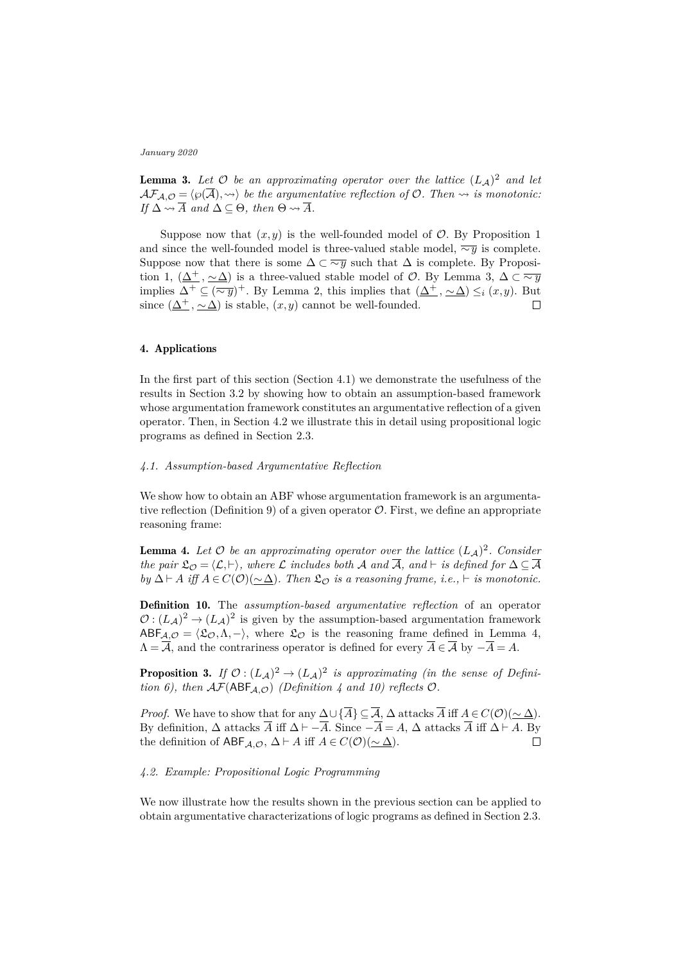**Lemma 3.** Let  $\mathcal{O}$  be an approximating operator over the lattice  $(L_A)^2$  and let  $AF_{A,\mathcal{O}} = \langle \wp(\overline{A}), \leadsto \rangle$  be the argumentative reflection of  $\mathcal{O}$ . Then  $\leadsto$  is monotonic: *If*  $\Delta \rightarrow \overline{A}$  *and*  $\Delta \subseteq \Theta$ *, then*  $\Theta \rightarrow \overline{A}$ *.* 

Suppose now that  $(x, y)$  is the well-founded model of  $\mathcal{O}$ . By Proposition 1 and since the well-founded model is three-valued stable model, ∼*y* is complete. Suppose now that there is some  $\Delta \subset \overline{\sim y}$  such that  $\Delta$  is complete. By Proposition 1,  $(\underline{\Delta^+}, \underline{\sim \Delta})$  is a three-valued stable model of  $\mathcal{O}$ . By Lemma 3,  $\Delta \subset \overline{\sim y}$ implies  $\Delta^+ \subseteq (\overline{\sim y})^+$ . By Lemma 2, this implies that  $(\underline{\Delta^+}, \underline{\sim \Delta}) \leq_i (x, y)$ . But since  $(\underline{\Delta^+}, \underline{\sim \Delta})$  is stable,  $(x, y)$  cannot be well-founded.  $\Box$ 

# 4. Applications

In the first part of this section (Section 4.1) we demonstrate the usefulness of the results in Section 3.2 by showing how to obtain an assumption-based framework whose argumentation framework constitutes an argumentative reflection of a given operator. Then, in Section 4.2 we illustrate this in detail using propositional logic programs as defined in Section 2.3.

## *4.1. Assumption-based Argumentative Reflection*

We show how to obtain an ABF whose argumentation framework is an argumentative reflection (Definition 9) of a given operator  $\mathcal O$ . First, we define an appropriate reasoning frame:

**Lemma 4.** Let  $\mathcal{O}$  be an approximating operator over the lattice  $(L_{\mathcal{A}})^2$ . Consider *the pair*  $\mathfrak{L}_{\mathcal{O}} = \langle \mathcal{L}, \vdash \rangle$ , where  $\mathcal{L}$  *includes both* A *and*  $\overline{\mathcal{A}}$ *, and*  $\vdash$  *is defined for*  $\Delta \subseteq \overline{\mathcal{A}}$ *by*  $\Delta$   $\vdash$  *A iff*  $A \in C(\mathcal{O})(\sim \Delta)$ *. Then*  $\mathfrak{L}_{\mathcal{O}}$  *is a reasoning frame, i.e.,*  $\vdash$  *is monotonic.* 

Definition 10. The *assumption-based argumentative reflection* of an operator  $\mathcal{O}: (L_{\mathcal{A}})^2 \to (L_{\mathcal{A}})^2$  is given by the assumption-based argumentation framework  $ABF_{\mathcal{A},\mathcal{O}} = \langle \mathfrak{L}_{\mathcal{O}}, \Lambda, - \rangle$ , where  $\mathfrak{L}_{\mathcal{O}}$  is the reasoning frame defined in Lemma 4,  $\overline{A} = \overline{A}$ , and the contrariness operator is defined for every  $\overline{A} \in \overline{A}$  by  $-\overline{A} = A$ .

**Proposition 3.** If  $\mathcal{O}: (L_{\mathcal{A}})^2 \to (L_{\mathcal{A}})^2$  is approximating (in the sense of Defini*tion 6), then*  $\mathcal{AF}(ABF_{A,O})$  *(Definition 4 and 10) reflects*  $O$ *.* 

*Proof.* We have to show that for any  $\Delta \cup {\overline{A}} \subseteq {\overline{A}}$ ,  $\Delta$  attacks  $\overline{A}$  iff  $A \in C(\mathcal{O})(\sim \Delta)$ . By definition,  $\Delta$  attacks  $\overline{A}$  iff  $\Delta \vdash -\overline{A}$ . Since  $-\overline{A} = A$ ,  $\Delta$  attacks  $\overline{A}$  iff  $\Delta \vdash A$ . By the definition of  $ABF_{A,\mathcal{O}}, \Delta \vdash A$  iff  $A \in C(\mathcal{O})(\sim \Delta)$ .  $\Box$ 

## *4.2. Example: Propositional Logic Programming*

We now illustrate how the results shown in the previous section can be applied to obtain argumentative characterizations of logic programs as defined in Section 2.3.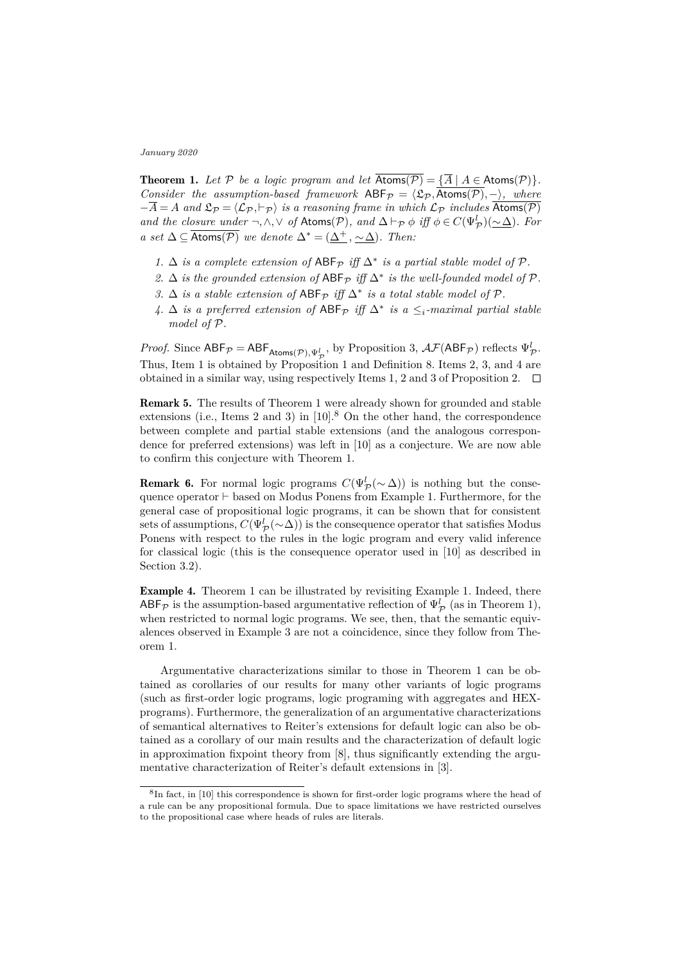**Theorem 1.** Let  $P$  be a logic program and let  $\overline{Atoms(P)} = {\overline{A} \mid A \in Atoms(P)}$ . *Consider the assumption-based framework*  $ABF_{\mathcal{P}} = \langle \mathfrak{L}_{\mathcal{P}}, \overline{Atoms(\mathcal{P})}, -\rangle$ *, where*  $-\overline{A} = A$  and  $\mathfrak{L}_{\mathcal{P}} = \langle \mathcal{L}_{\mathcal{P}}, \vdash_{\mathcal{P}} \rangle$  *is a reasoning frame in which*  $\mathcal{L}_{\mathcal{P}}$  *includes*  $\overline{\text{Atoms}(\mathcal{P})}$ *and the closure under*  $\neg, \wedge, \vee$  *of* Atoms(P), and  $\Delta \vdash_{\mathcal{P}} \phi$  *iff*  $\phi \in C(\Psi_{\mathcal{P}}^l)(\sim \Delta)$ *. For a set*  $\Delta \subseteq \overline{Atoms(P)}$  *we denote*  $\Delta^* = (\Delta^+, \sim \Delta)$ *. Then:* 

- *1.* ∆ *is a complete extension of*  $ABF_{\mathcal{P}}$  *iff*  $\Delta^*$  *is a partial stable model of*  $\mathcal{P}$ *.*
- 2.  $\Delta$  *is the grounded extension of*  $ABF_{\mathcal{P}}$  *iff*  $\Delta^*$  *is the well-founded model of*  $\mathcal{P}$ *.*
- *3.* ∆ *is a stable extension of*  $ABF$  $p$  *iff*  $\Delta^*$  *is a total stable model of*  $P$ *.*
- *4.*  $\Delta$  *is a preferred extension of* ABF<sub>*P*</sub> *iff*  $\Delta^*$  *is a* ≤*i*-maximal partial stable *model of* P*.*

*Proof.* Since  $ABF_{\mathcal{P}} = ABF_{\text{Atoms}(\mathcal{P}), \Psi_{\mathcal{P}}^l}$ , by Proposition 3,  $\mathcal{AF}(ABF_{\mathcal{P}})$  reflects  $\Psi_{\mathcal{P}}^l$ . Thus, Item 1 is obtained by Proposition 1 and Definition 8. Items 2, 3, and 4 are obtained in a similar way, using respectively Items 1, 2 and 3 of Proposition 2.  $\Box$ 

Remark 5. The results of Theorem 1 were already shown for grounded and stable extensions (i.e., Items 2 and 3) in  $[10]$ .<sup>8</sup> On the other hand, the correspondence between complete and partial stable extensions (and the analogous correspondence for preferred extensions) was left in [10] as a conjecture. We are now able to confirm this conjecture with Theorem 1.

**Remark 6.** For normal logic programs  $C(\Psi^l_{\mathcal{P}}(\sim \Delta))$  is nothing but the consequence operator  $\vdash$  based on Modus Ponens from Example 1. Furthermore, for the general case of propositional logic programs, it can be shown that for consistent sets of assumptions,  $C(\Psi_{\cal P}^l(\sim\Delta))$  is the consequence operator that satisfies Modus Ponens with respect to the rules in the logic program and every valid inference for classical logic (this is the consequence operator used in [10] as described in Section 3.2).

Example 4. Theorem 1 can be illustrated by revisiting Example 1. Indeed, there  $ABF_{\mathcal{P}}$  is the assumption-based argumentative reflection of  $\Psi_{\mathcal{P}}^{l}$  (as in Theorem 1), when restricted to normal logic programs. We see, then, that the semantic equivalences observed in Example 3 are not a coincidence, since they follow from Theorem 1.

Argumentative characterizations similar to those in Theorem 1 can be obtained as corollaries of our results for many other variants of logic programs (such as first-order logic programs, logic programing with aggregates and HEXprograms). Furthermore, the generalization of an argumentative characterizations of semantical alternatives to Reiter's extensions for default logic can also be obtained as a corollary of our main results and the characterization of default logic in approximation fixpoint theory from [8], thus significantly extending the argumentative characterization of Reiter's default extensions in [3].

<sup>&</sup>lt;sup>8</sup>In fact, in [10] this correspondence is shown for first-order logic programs where the head of a rule can be any propositional formula. Due to space limitations we have restricted ourselves to the propositional case where heads of rules are literals.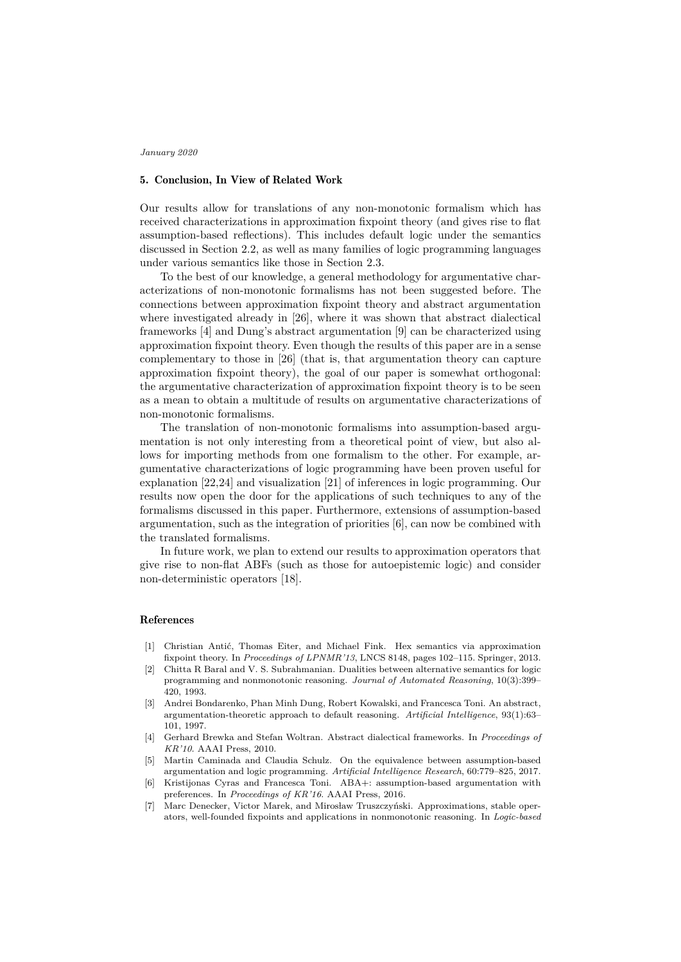# 5. Conclusion, In View of Related Work

Our results allow for translations of any non-monotonic formalism which has received characterizations in approximation fixpoint theory (and gives rise to flat assumption-based reflections). This includes default logic under the semantics discussed in Section 2.2, as well as many families of logic programming languages under various semantics like those in Section 2.3.

To the best of our knowledge, a general methodology for argumentative characterizations of non-monotonic formalisms has not been suggested before. The connections between approximation fixpoint theory and abstract argumentation where investigated already in [26], where it was shown that abstract dialectical frameworks [4] and Dung's abstract argumentation [9] can be characterized using approximation fixpoint theory. Even though the results of this paper are in a sense complementary to those in [26] (that is, that argumentation theory can capture approximation fixpoint theory), the goal of our paper is somewhat orthogonal: the argumentative characterization of approximation fixpoint theory is to be seen as a mean to obtain a multitude of results on argumentative characterizations of non-monotonic formalisms.

The translation of non-monotonic formalisms into assumption-based argumentation is not only interesting from a theoretical point of view, but also allows for importing methods from one formalism to the other. For example, argumentative characterizations of logic programming have been proven useful for explanation [22,24] and visualization [21] of inferences in logic programming. Our results now open the door for the applications of such techniques to any of the formalisms discussed in this paper. Furthermore, extensions of assumption-based argumentation, such as the integration of priorities [6], can now be combined with the translated formalisms.

In future work, we plan to extend our results to approximation operators that give rise to non-flat ABFs (such as those for autoepistemic logic) and consider non-deterministic operators [18].

## References

- [1] Christian Antić, Thomas Eiter, and Michael Fink. Hex semantics via approximation fixpoint theory. In *Proceedings of LPNMR'13*, LNCS 8148, pages 102–115. Springer, 2013.
- [2] Chitta R Baral and V. S. Subrahmanian. Dualities between alternative semantics for logic programming and nonmonotonic reasoning. *Journal of Automated Reasoning*, 10(3):399– 420, 1993.
- [3] Andrei Bondarenko, Phan Minh Dung, Robert Kowalski, and Francesca Toni. An abstract, argumentation-theoretic approach to default reasoning. *Artificial Intelligence*, 93(1):63– 101, 1997.
- [4] Gerhard Brewka and Stefan Woltran. Abstract dialectical frameworks. In *Proceedings of KR'10*. AAAI Press, 2010.
- [5] Martin Caminada and Claudia Schulz. On the equivalence between assumption-based argumentation and logic programming. *Artificial Intelligence Research*, 60:779–825, 2017.
- [6] Kristijonas Cyras and Francesca Toni. ABA+: assumption-based argumentation with preferences. In *Proceedings of KR'16*. AAAI Press, 2016.
- [7] Marc Denecker, Victor Marek, and Mirosław Truszczyński. Approximations, stable operators, well-founded fixpoints and applications in nonmonotonic reasoning. In *Logic-based*